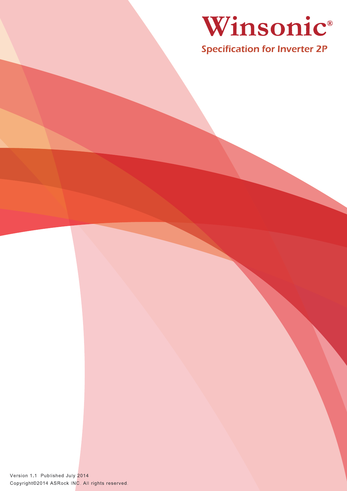

Specification for Inverter 2P

Version 1.1 Published July 2014 Copyright@2014 ASRock INC. All rights reserved.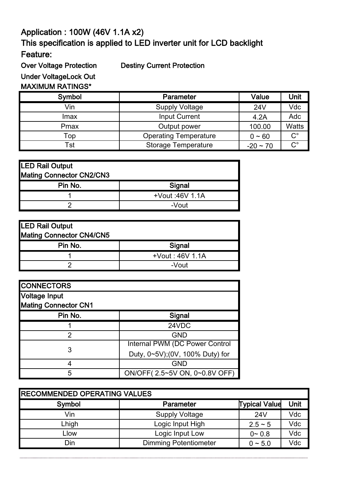## Application : 100W (46V 1.1A x2) Feature: This specification is applied to LED inverter unit for LCD backlight

Over Voltage Protection Destiny Current Protection

Under VoltageLock Out

## MAXIMUM RATINGS\*

| Symbol | Parameter                    | Value         | Unit         |
|--------|------------------------------|---------------|--------------|
| Vin    | <b>Supply Voltage</b>        | 24V           | Vdc          |
| Imax   | <b>Input Current</b>         | 4.2A          | Adc          |
| Pmax   | Output power                 | 100.00        | <b>Watts</b> |
| Top    | <b>Operating Temperature</b> | $0 - 60$      | $C^{\circ}$  |
| Tst    | <b>Storage Temperature</b>   | $-20 \sim 70$ | $C^{\circ}$  |

| LED Rail Output                 |                 |  |  |
|---------------------------------|-----------------|--|--|
| <b>Mating Connector CN2/CN3</b> |                 |  |  |
| Pin No.                         | Signal          |  |  |
|                                 | +Vout :46V 1.1A |  |  |
|                                 | -Vout           |  |  |

| <b>LED Rail Output</b>   |                 |  |  |  |
|--------------------------|-----------------|--|--|--|
| Mating Connector CN4/CN5 |                 |  |  |  |
| Pin No.                  | Signal          |  |  |  |
|                          | +Vout: 46V 1.1A |  |  |  |
|                          | -Vout           |  |  |  |

| <b>CONNECTORS</b>           |                                 |
|-----------------------------|---------------------------------|
| Voltage Input               |                                 |
| <b>Mating Connector CN1</b> |                                 |
| Pin No.                     | Signal                          |
|                             | 24VDC                           |
| 2                           | <b>GND</b>                      |
|                             | Internal PWM (DC Power Control  |
| 3                           | Duty, 0~5V);(0V, 100% Duty) for |
|                             | <b>GND</b>                      |
| 5                           | ON/OFF(2.5~5V ON, 0~0.8V OFF)   |

| <b>RECOMMENDED OPERATING VALUES</b> |                              |                      |      |  |  |
|-------------------------------------|------------------------------|----------------------|------|--|--|
| Symbol                              | Parameter                    | <b>Typical Value</b> | Unit |  |  |
| Vin                                 | <b>Supply Voltage</b>        | 24V                  | Vdc  |  |  |
| Lhigh                               | Logic Input High             | $2.5 - 5$            | Vdc  |  |  |
| Llow                                | Logic Input Low              | $0 - 0.8$            | Vdc  |  |  |
| Din                                 | <b>Dimming Potentiometer</b> | $0 \sim 5.0$         | Vdc  |  |  |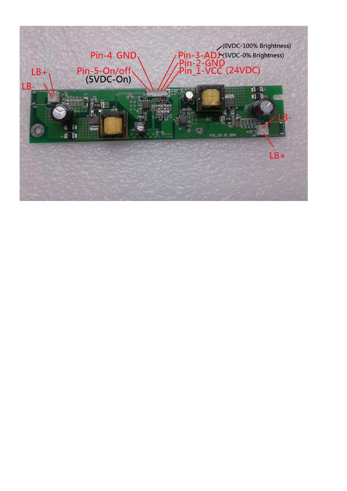